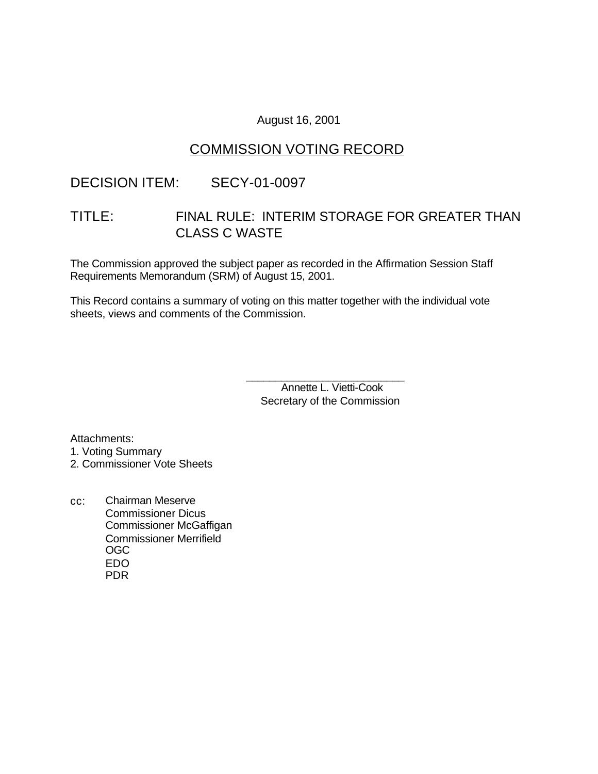### August 16, 2001

## COMMISSION VOTING RECORD

### DECISION ITEM: SECY-01-0097

# TITLE: FINAL RULE: INTERIM STORAGE FOR GREATER THAN CLASS C WASTE

The Commission approved the subject paper as recorded in the Affirmation Session Staff Requirements Memorandum (SRM) of August 15, 2001.

This Record contains a summary of voting on this matter together with the individual vote sheets, views and comments of the Commission.

> Annette L. Vietti-Cook Secretary of the Commission

\_\_\_\_\_\_\_\_\_\_\_\_\_\_\_\_\_\_\_\_\_\_\_\_\_\_\_

Attachments: 1. Voting Summary

2. Commissioner Vote Sheets

cc: Chairman Meserve Commissioner Dicus Commissioner McGaffigan Commissioner Merrifield OGC EDO PDR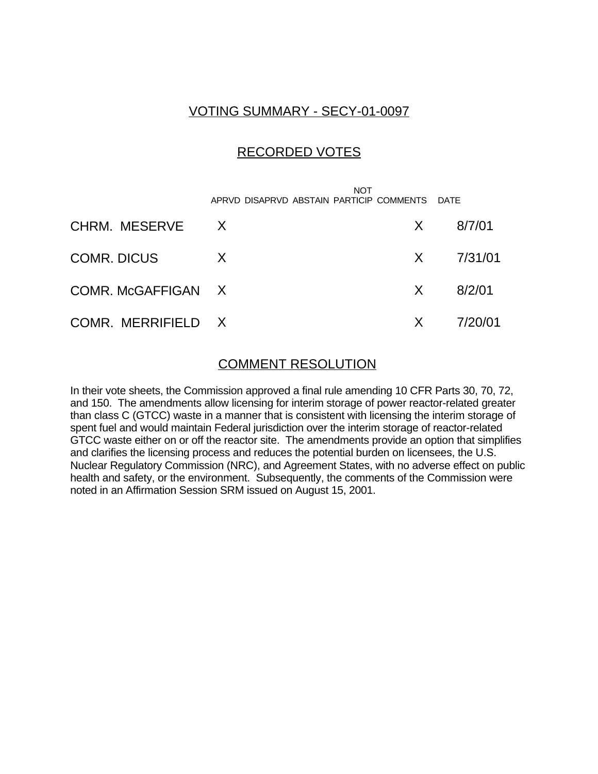## VOTING SUMMARY - SECY-01-0097

## RECORDED VOTES

**NOT** APRVD DISAPRVD ABSTAIN PARTICIP COMMENTS DATE

| CHRM. MESERVE X    |   | $X = 8/7/01$         |
|--------------------|---|----------------------|
| COMR. DICUS        | X | $X = 7/31/01$        |
| COMR. McGAFFIGAN X |   | $X = 8/2/01$         |
| COMR. MERRIFIELD X |   | $X = \frac{7}{20}01$ |

### COMMENT RESOLUTION

In their vote sheets, the Commission approved a final rule amending 10 CFR Parts 30, 70, 72, and 150. The amendments allow licensing for interim storage of power reactor-related greater than class C (GTCC) waste in a manner that is consistent with licensing the interim storage of spent fuel and would maintain Federal jurisdiction over the interim storage of reactor-related GTCC waste either on or off the reactor site. The amendments provide an option that simplifies and clarifies the licensing process and reduces the potential burden on licensees, the U.S. Nuclear Regulatory Commission (NRC), and Agreement States, with no adverse effect on public health and safety, or the environment. Subsequently, the comments of the Commission were noted in an Affirmation Session SRM issued on August 15, 2001.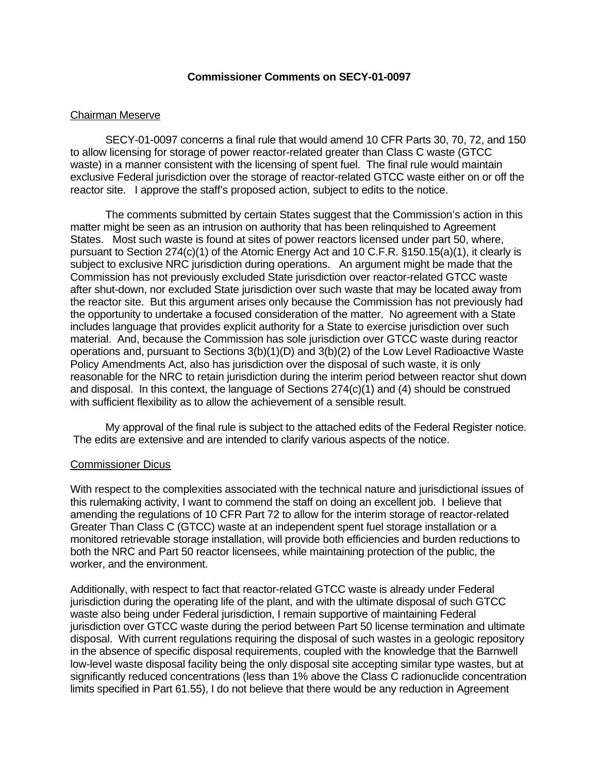### **Commissioner Comments on SECY-01-0097**

### Chairman Meserve

SECY-01-0097 concerns a final rule that would amend 10 CFR Parts 30, 70, 72, and 150 to allow licensing for storage of power reactor-related greater than Class C waste (GTCC waste) in a manner consistent with the licensing of spent fuel. The final rule would maintain exclusive Federal jurisdiction over the storage of reactor-related GTCC waste either on or off the reactor site. I approve the staff's proposed action, subject to edits to the notice.

The comments submitted by certain States suggest that the Commission's action in this matter might be seen as an intrusion on authority that has been relinquished to Agreement States. Most such waste is found at sites of power reactors licensed under part 50, where, pursuant to Section 274(c)(1) of the Atomic Energy Act and 10 C.F.R. §150.15(a)(1), it clearly is subject to exclusive NRC jurisdiction during operations. An argument might be made that the Commission has not previously excluded State jurisdiction over reactor-related GTCC waste after shut-down, nor excluded State jurisdiction over such waste that may be located away from the reactor site. But this argument arises only because the Commission has not previously had the opportunity to undertake a focused consideration of the matter. No agreement with a State includes language that provides explicit authority for a State to exercise jurisdiction over such material. And, because the Commission has sole jurisdiction over GTCC waste during reactor operations and, pursuant to Sections 3(b)(1)(D) and 3(b)(2) of the Low Level Radioactive Waste Policy Amendments Act, also has jurisdiction over the disposal of such waste, it is only reasonable for the NRC to retain jurisdiction during the interim period between reactor shut down and disposal. In this context, the language of Sections 274(c)(1) and (4) should be construed with sufficient flexibility as to allow the achievement of a sensible result.

My approval of the final rule is subject to the attached edits of the Federal Register notice. The edits are extensive and are intended to clarify various aspects of the notice.

#### Commissioner Dicus

With respect to the complexities associated with the technical nature and jurisdictional issues of this rulemaking activity, I want to commend the staff on doing an excellent job. I believe that amending the regulations of 10 CFR Part 72 to allow for the interim storage of reactor-related Greater Than Class C (GTCC) waste at an independent spent fuel storage installation or a monitored retrievable storage installation, will provide both efficiencies and burden reductions to both the NRC and Part 50 reactor licensees, while maintaining protection of the public, the worker, and the environment.

Additionally, with respect to fact that reactor-related GTCC waste is already under Federal jurisdiction during the operating life of the plant, and with the ultimate disposal of such GTCC waste also being under Federal jurisdiction, I remain supportive of maintaining Federal jurisdiction over GTCC waste during the period between Part 50 license termination and ultimate disposal. With current regulations requiring the disposal of such wastes in a geologic repository in the absence of specific disposal requirements, coupled with the knowledge that the Barnwell low-level waste disposal facility being the only disposal site accepting similar type wastes, but at significantly reduced concentrations (less than 1% above the Class C radionuclide concentration limits specified in Part 61.55), I do not believe that there would be any reduction in Agreement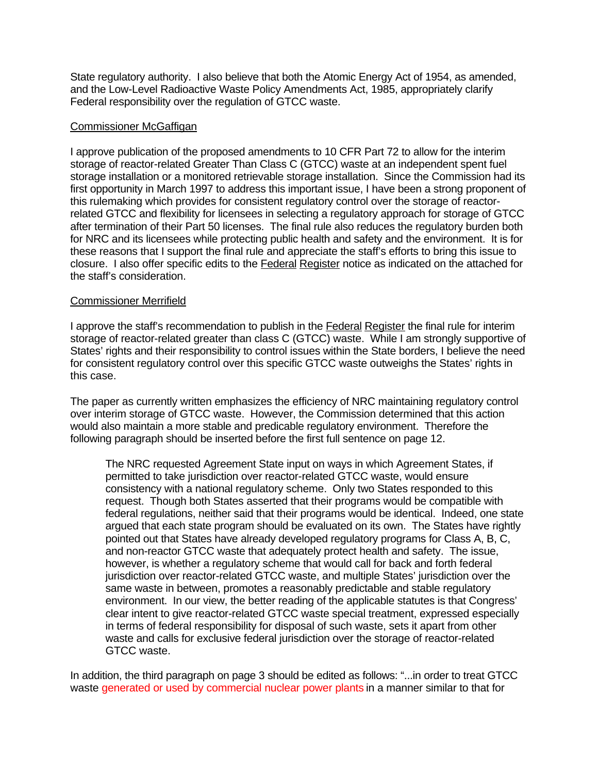State regulatory authority. I also believe that both the Atomic Energy Act of 1954, as amended, and the Low-Level Radioactive Waste Policy Amendments Act, 1985, appropriately clarify Federal responsibility over the regulation of GTCC waste.

### Commissioner McGaffigan

I approve publication of the proposed amendments to 10 CFR Part 72 to allow for the interim storage of reactor-related Greater Than Class C (GTCC) waste at an independent spent fuel storage installation or a monitored retrievable storage installation. Since the Commission had its first opportunity in March 1997 to address this important issue, I have been a strong proponent of this rulemaking which provides for consistent regulatory control over the storage of reactorrelated GTCC and flexibility for licensees in selecting a regulatory approach for storage of GTCC after termination of their Part 50 licenses. The final rule also reduces the regulatory burden both for NRC and its licensees while protecting public health and safety and the environment. It is for these reasons that I support the final rule and appreciate the staff's efforts to bring this issue to closure. I also offer specific edits to the Federal Register notice as indicated on the attached for the staff's consideration.

### Commissioner Merrifield

I approve the staff's recommendation to publish in the **Federal Register** the final rule for interim storage of reactor-related greater than class C (GTCC) waste. While I am strongly supportive of States' rights and their responsibility to control issues within the State borders, I believe the need for consistent regulatory control over this specific GTCC waste outweighs the States' rights in this case.

The paper as currently written emphasizes the efficiency of NRC maintaining regulatory control over interim storage of GTCC waste. However, the Commission determined that this action would also maintain a more stable and predicable regulatory environment. Therefore the following paragraph should be inserted before the first full sentence on page 12.

The NRC requested Agreement State input on ways in which Agreement States, if permitted to take jurisdiction over reactor-related GTCC waste, would ensure consistency with a national regulatory scheme. Only two States responded to this request. Though both States asserted that their programs would be compatible with federal regulations, neither said that their programs would be identical. Indeed, one state argued that each state program should be evaluated on its own. The States have rightly pointed out that States have already developed regulatory programs for Class A, B, C, and non-reactor GTCC waste that adequately protect health and safety. The issue, however, is whether a regulatory scheme that would call for back and forth federal jurisdiction over reactor-related GTCC waste, and multiple States' jurisdiction over the same waste in between, promotes a reasonably predictable and stable regulatory environment. In our view, the better reading of the applicable statutes is that Congress' clear intent to give reactor-related GTCC waste special treatment, expressed especially in terms of federal responsibility for disposal of such waste, sets it apart from other waste and calls for exclusive federal jurisdiction over the storage of reactor-related GTCC waste.

In addition, the third paragraph on page 3 should be edited as follows: "...in order to treat GTCC waste generated or used by commercial nuclear power plants in a manner similar to that for